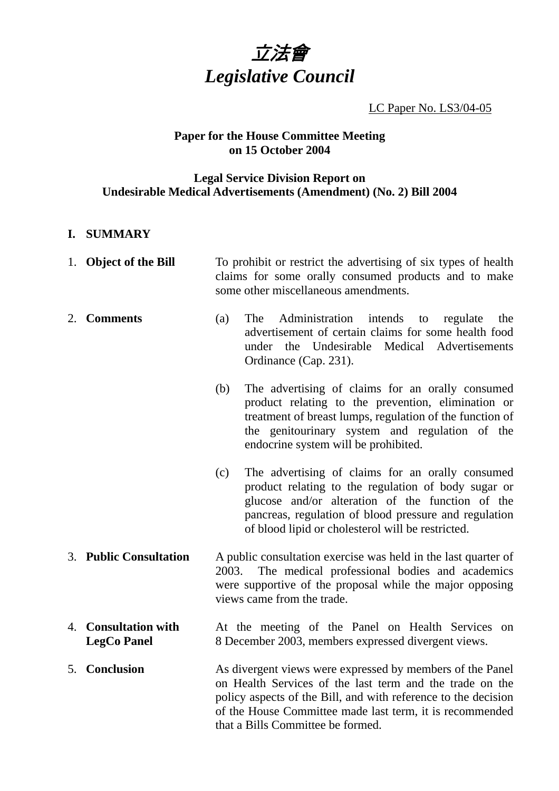

LC Paper No. LS3/04-05

### **Paper for the House Committee Meeting on 15 October 2004**

### **Legal Service Division Report on Undesirable Medical Advertisements (Amendment) (No. 2) Bill 2004**

### **I. SUMMARY**

- 1. **Object of the Bill** To prohibit or restrict the advertising of six types of health claims for some orally consumed products and to make some other miscellaneous amendments.
- 2. **Comments** (a) The Administration intends to regulate the advertisement of certain claims for some health food under the Undesirable Medical Advertisements Ordinance (Cap. 231).
	- (b) The advertising of claims for an orally consumed product relating to the prevention, elimination or treatment of breast lumps, regulation of the function of the genitourinary system and regulation of the endocrine system will be prohibited.
	- (c) The advertising of claims for an orally consumed product relating to the regulation of body sugar or glucose and/or alteration of the function of the pancreas, regulation of blood pressure and regulation of blood lipid or cholesterol will be restricted.
- 3. **Public Consultation** A public consultation exercise was held in the last quarter of 2003. The medical professional bodies and academics were supportive of the proposal while the major opposing views came from the trade.
- 4. **Consultation with LegCo Panel**  At the meeting of the Panel on Health Services on 8 December 2003, members expressed divergent views.
- 5. **Conclusion** As divergent views were expressed by members of the Panel on Health Services of the last term and the trade on the policy aspects of the Bill, and with reference to the decision of the House Committee made last term, it is recommended that a Bills Committee be formed.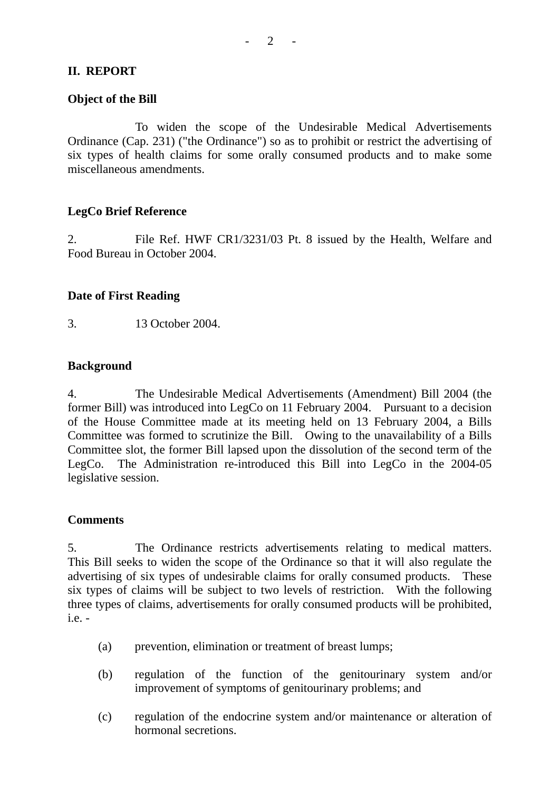# **II. REPORT**

## **Object of the Bill**

To widen the scope of the Undesirable Medical Advertisements Ordinance (Cap. 231) ("the Ordinance") so as to prohibit or restrict the advertising of six types of health claims for some orally consumed products and to make some miscellaneous amendments.

## **LegCo Brief Reference**

2. File Ref. HWF CR1/3231/03 Pt. 8 issued by the Health, Welfare and Food Bureau in October 2004.

# **Date of First Reading**

3. 13 October 2004.

### **Background**

4. The Undesirable Medical Advertisements (Amendment) Bill 2004 (the former Bill) was introduced into LegCo on 11 February 2004. Pursuant to a decision of the House Committee made at its meeting held on 13 February 2004, a Bills Committee was formed to scrutinize the Bill. Owing to the unavailability of a Bills Committee slot, the former Bill lapsed upon the dissolution of the second term of the LegCo. The Administration re-introduced this Bill into LegCo in the 2004-05 legislative session.

## **Comments**

5. The Ordinance restricts advertisements relating to medical matters. This Bill seeks to widen the scope of the Ordinance so that it will also regulate the advertising of six types of undesirable claims for orally consumed products. These six types of claims will be subject to two levels of restriction. With the following three types of claims, advertisements for orally consumed products will be prohibited,  $i.e.$  -

- (a) prevention, elimination or treatment of breast lumps;
- (b) regulation of the function of the genitourinary system and/or improvement of symptoms of genitourinary problems; and
- (c) regulation of the endocrine system and/or maintenance or alteration of hormonal secretions.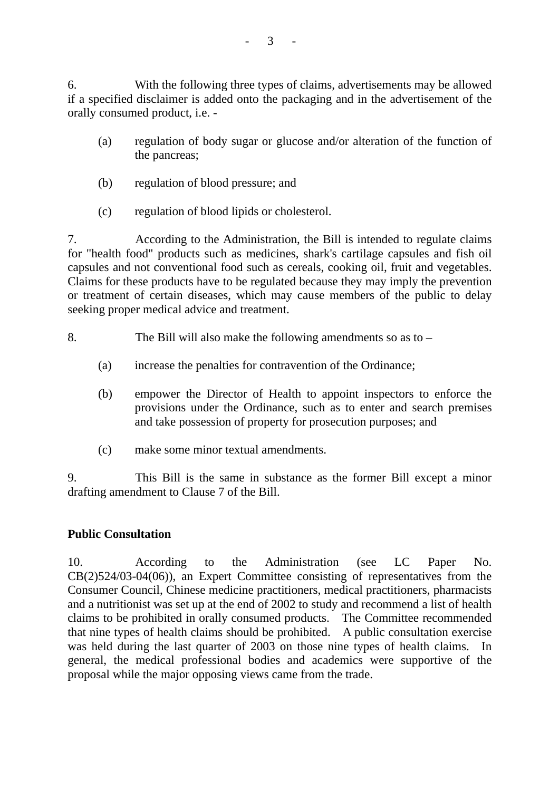6. With the following three types of claims, advertisements may be allowed if a specified disclaimer is added onto the packaging and in the advertisement of the orally consumed product, i.e. -

- (a) regulation of body sugar or glucose and/or alteration of the function of the pancreas;
- (b) regulation of blood pressure; and
- (c) regulation of blood lipids or cholesterol.

7. According to the Administration, the Bill is intended to regulate claims for "health food" products such as medicines, shark's cartilage capsules and fish oil capsules and not conventional food such as cereals, cooking oil, fruit and vegetables. Claims for these products have to be regulated because they may imply the prevention or treatment of certain diseases, which may cause members of the public to delay seeking proper medical advice and treatment.

- 8. The Bill will also make the following amendments so as to
	- (a) increase the penalties for contravention of the Ordinance;
	- (b) empower the Director of Health to appoint inspectors to enforce the provisions under the Ordinance, such as to enter and search premises and take possession of property for prosecution purposes; and
	- (c) make some minor textual amendments.

9. This Bill is the same in substance as the former Bill except a minor drafting amendment to Clause 7 of the Bill.

## **Public Consultation**

10. According to the Administration (see LC Paper No. CB(2)524/03-04(06)), an Expert Committee consisting of representatives from the Consumer Council, Chinese medicine practitioners, medical practitioners, pharmacists and a nutritionist was set up at the end of 2002 to study and recommend a list of health claims to be prohibited in orally consumed products. The Committee recommended that nine types of health claims should be prohibited. A public consultation exercise was held during the last quarter of 2003 on those nine types of health claims. general, the medical professional bodies and academics were supportive of the proposal while the major opposing views came from the trade.